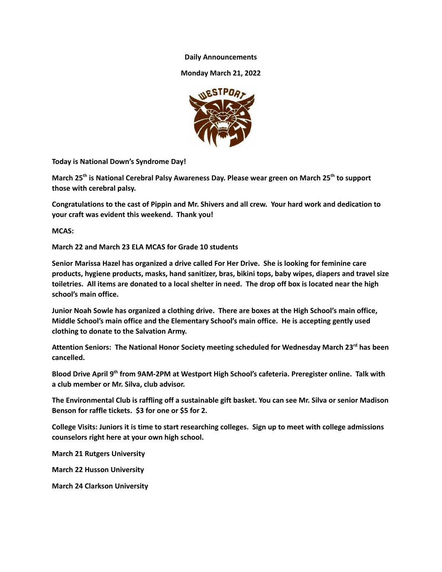**Daily Announcements**

**Monday March 21, 2022**



**Today is National Down's Syndrome Day!**

**March 25 th is National Cerebral Palsy Awareness Day. Please wear green on March 25 th to support those with cerebral palsy.**

Congratulations to the cast of Pippin and Mr. Shivers and all crew. Your hard work and dedication to **your craft was evident this weekend. Thank you!**

**MCAS:**

**March 22 and March 23 ELA MCAS for Grade 10 students**

**Senior Marissa Hazel has organized a drive called For Her Drive. She is looking for feminine care products, hygiene products, masks, hand sanitizer, bras, bikini tops, baby wipes, diapers and travel size** toiletries. All items are donated to a local shelter in need. The drop off box is located near the high **school's main office.**

**Junior Noah Sowle has organized a clothing drive. There are boxes at the High School's main office, Middle School's main office and the Elementary School's main office. He is accepting gently used clothing to donate to the Salvation Army.**

**Attention Seniors: The National Honor Society meeting scheduled for Wednesday March 23 rd has been cancelled.**

**Blood Drive April 9 th from 9AM-2PM at Westport High School's cafeteria. Preregister online. Talk with a club member or Mr. Silva, club advisor.**

The Environmental Club is raffling off a sustainable gift basket. You can see Mr. Silva or senior Madison **Benson for raffle tickets. \$3 for one or \$5 for 2.**

**College Visits: Juniors it is time to start researching colleges. Sign up to meet with college admissions counselors right here at your own high school.**

**March 21 Rutgers University**

**March 22 Husson University**

**March 24 Clarkson University**